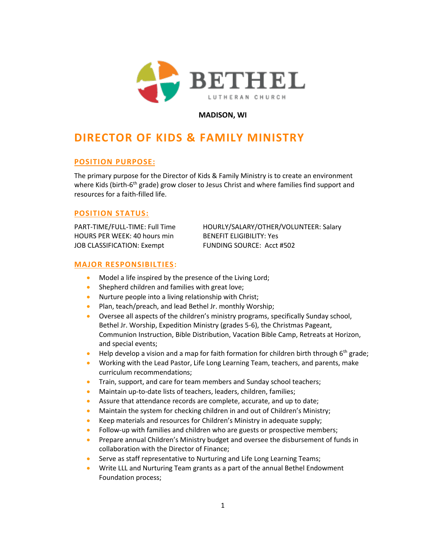

**MADISON, WI**

# **DIRECTOR OF KIDS & FAMILY MINISTRY**

# **POSITION PURPOSE:**

The primary purpose for the Director of Kids & Family Ministry is to create an environment where Kids (birth-6<sup>th</sup> grade) grow closer to Jesus Christ and where families find support and resources for a faith-filled life.

# **POSITION STATUS:**

HOURS PER WEEK: 40 hours min BENEFIT ELIGIBILITY: Yes JOB CLASSIFICATION: Exempt FUNDING SOURCE: Acct #502

PART-TIME/FULL-TIME: Full Time HOURLY/SALARY/OTHER/VOLUNTEER: Salary

### **MAJOR RESPONSIBILTIES:**

- Model a life inspired by the presence of the Living Lord;
- Shepherd children and families with great love;
- Nurture people into a living relationship with Christ;
- Plan, teach/preach, and lead Bethel Jr. monthly Worship;
- Oversee all aspects of the children's ministry programs, specifically Sunday school, Bethel Jr. Worship, Expedition Ministry (grades 5-6), the Christmas Pageant, Communion Instruction, Bible Distribution, Vacation Bible Camp, Retreats at Horizon, and special events;
- Help develop a vision and a map for faith formation for children birth through  $6<sup>th</sup>$  grade;
- Working with the Lead Pastor, Life Long Learning Team, teachers, and parents, make curriculum recommendations;
- Train, support, and care for team members and Sunday school teachers;
- Maintain up-to-date lists of teachers, leaders, children, families;
- Assure that attendance records are complete, accurate, and up to date;
- Maintain the system for checking children in and out of Children's Ministry;
- Keep materials and resources for Children's Ministry in adequate supply;
- Follow-up with families and children who are guests or prospective members;
- Prepare annual Children's Ministry budget and oversee the disbursement of funds in collaboration with the Director of Finance;
- Serve as staff representative to Nurturing and Life Long Learning Teams;
- Write LLL and Nurturing Team grants as a part of the annual Bethel Endowment Foundation process;